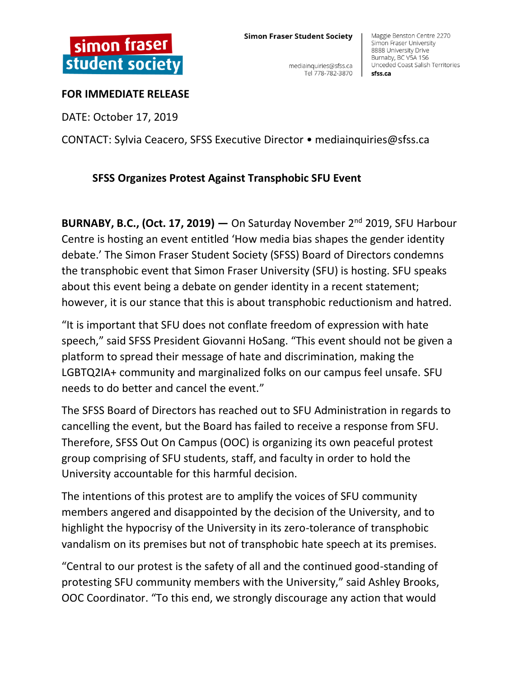## **Simon Fraser Student Society**

mediainquiries@sfss.ca Tel 778-782-3870

Maggie Benston Centre 2270 Simon Fraser University 8888 University Drive Burnaby, BC V5A 1S6 Unceded Coast Salish Territories sfss.ca

## **FOR IMMEDIATE RELEASE**

DATE: October 17, 2019

CONTACT: Sylvia Ceacero, SFSS Executive Director • mediainquiries@sfss.ca

## **SFSS Organizes Protest Against Transphobic SFU Event**

**BURNABY, B.C., (Oct. 17, 2019) —** On Saturday November 2nd 2019, SFU Harbour Centre is hosting an event entitled 'How media bias shapes the gender identity debate.' The Simon Fraser Student Society (SFSS) Board of Directors condemns the transphobic event that Simon Fraser University (SFU) is hosting. SFU speaks about this event being a debate on gender identity in a recent statement; however, it is our stance that this is about transphobic reductionism and hatred.

"It is important that SFU does not conflate freedom of expression with hate speech," said SFSS President Giovanni HoSang. "This event should not be given a platform to spread their message of hate and discrimination, making the LGBTQ2IA+ community and marginalized folks on our campus feel unsafe. SFU needs to do better and cancel the event."

The SFSS Board of Directors has reached out to SFU Administration in regards to cancelling the event, but the Board has failed to receive a response from SFU. Therefore, SFSS Out On Campus (OOC) is organizing its own peaceful protest group comprising of SFU students, staff, and faculty in order to hold the University accountable for this harmful decision.

The intentions of this protest are to amplify the voices of SFU community members angered and disappointed by the decision of the University, and to highlight the hypocrisy of the University in its zero-tolerance of transphobic vandalism on its premises but not of transphobic hate speech at its premises.

"Central to our protest is the safety of all and the continued good-standing of protesting SFU community members with the University," said Ashley Brooks, OOC Coordinator. "To this end, we strongly discourage any action that would